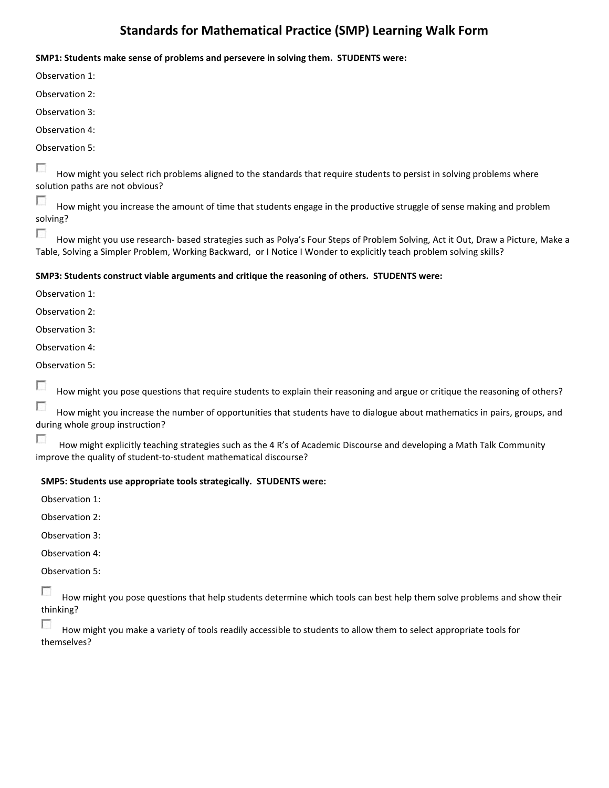# **Standards for Mathematical Practice (SMP) Learning Walk Form**

#### **SMP1: Students make sense of problems and persevere in solving them. STUDENTS were:**

Observation 1:

Observation 2:

Observation 3:

Observation 4:

Observation 5:

Г How might you select rich problems aligned to the standards that require students to persist in solving problems where solution paths are not obvious?

г How might you increase the amount of time that students engage in the productive struggle of sense making and problem solving?

г How might you use research- based strategies such as Polya's Four Steps of Problem Solving, Act it Out, Draw a Picture, Make a Table, Solving a Simpler Problem, Working Backward, or I Notice I Wonder to explicitly teach problem solving skills?

## **SMP3: Students construct viable arguments and critique the reasoning of others. STUDENTS were:**

Observation 1:

Observation 2:

Observation 3:

Observation 4:

Observation 5:

г How might you pose questions that require students to explain their reasoning and argue or critique the reasoning of others?

г How might you increase the number of opportunities that students have to dialogue about mathematics in pairs, groups, and during whole group instruction?

T How might explicitly teaching strategies such as the 4 R's of Academic Discourse and developing a Math Talk Community improve the quality of student-to-student mathematical discourse?

## **SMP5: Students use appropriate tools strategically. STUDENTS were:**

Observation 1:

Observation 2:

Observation 3:

Observation 4:

Observation 5:

Е How might you pose questions that help students determine which tools can best help them solve problems and show their thinking?

How might you make a variety of tools readily accessible to students to allow them to select appropriate tools for themselves?